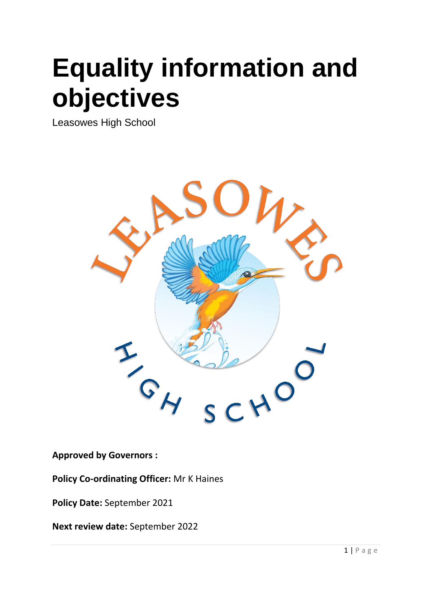# **Equality information and objectives**

Leasowes High School



**Approved by Governors :** 

**Policy Co-ordinating Officer:** Mr K Haines

**Policy Date:** September 2021

**Next review date:** September 2022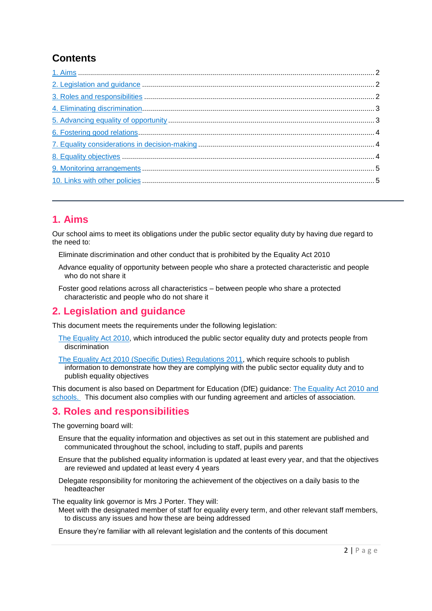## **Contents**

## <span id="page-1-0"></span>**1. Aims**

Our school aims to meet its obligations under the public sector equality duty by having due regard to the need to:

Eliminate discrimination and other conduct that is prohibited by the Equality Act 2010

- Advance equality of opportunity between people who share a protected characteristic and people who do not share it
- Foster good relations across all characteristics between people who share a protected characteristic and people who do not share it

## <span id="page-1-1"></span>**2. Legislation and guidance**

This document meets the requirements under the following legislation:

- [The Equality Act 2010,](http://www.legislation.gov.uk/ukpga/2010/15/contents) which introduced the public sector equality duty and protects people from discrimination
- [The Equality Act 2010 \(Specific Duties\) Regulations 2011,](http://www.legislation.gov.uk/uksi/2011/2260/contents/made) which require schools to publish information to demonstrate how they are complying with the public sector equality duty and to publish equality objectives

This document is also based on Department for Education (DfE) guidance: [The Equality Act 2010 and](https://www.gov.uk/government/publications/equality-act-2010-advice-for-schools)  [schools.](https://www.gov.uk/government/publications/equality-act-2010-advice-for-schools) This document also complies with our funding agreement and articles of association.

#### <span id="page-1-2"></span>**3. Roles and responsibilities**

The governing board will:

- Ensure that the equality information and objectives as set out in this statement are published and communicated throughout the school, including to staff, pupils and parents
- Ensure that the published equality information is updated at least every year, and that the objectives are reviewed and updated at least every 4 years
- Delegate responsibility for monitoring the achievement of the objectives on a daily basis to the headteacher

The equality link governor is Mrs J Porter. They will:

Meet with the designated member of staff for equality every term, and other relevant staff members, to discuss any issues and how these are being addressed

Ensure they're familiar with all relevant legislation and the contents of this document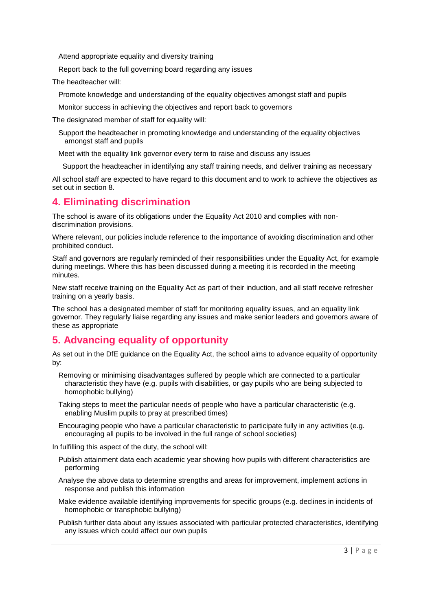Attend appropriate equality and diversity training

Report back to the full governing board regarding any issues

The headteacher will:

Promote knowledge and understanding of the equality objectives amongst staff and pupils

Monitor success in achieving the objectives and report back to governors

The designated member of staff for equality will:

Support the headteacher in promoting knowledge and understanding of the equality objectives amongst staff and pupils

Meet with the equality link governor every term to raise and discuss any issues

Support the headteacher in identifying any staff training needs, and deliver training as necessary

All school staff are expected to have regard to this document and to work to achieve the objectives as set out in section 8.

#### <span id="page-2-0"></span>**4. Eliminating discrimination**

The school is aware of its obligations under the Equality Act 2010 and complies with nondiscrimination provisions.

Where relevant, our policies include reference to the importance of avoiding discrimination and other prohibited conduct.

Staff and governors are regularly reminded of their responsibilities under the Equality Act, for example during meetings. Where this has been discussed during a meeting it is recorded in the meeting minutes.

New staff receive training on the Equality Act as part of their induction, and all staff receive refresher training on a yearly basis.

The school has a designated member of staff for monitoring equality issues, and an equality link governor. They regularly liaise regarding any issues and make senior leaders and governors aware of these as appropriate

## <span id="page-2-1"></span>**5. Advancing equality of opportunity**

As set out in the DfE guidance on the Equality Act, the school aims to advance equality of opportunity by:

- Removing or minimising disadvantages suffered by people which are connected to a particular characteristic they have (e.g. pupils with disabilities, or gay pupils who are being subjected to homophobic bullying)
- Taking steps to meet the particular needs of people who have a particular characteristic (e.g. enabling Muslim pupils to pray at prescribed times)
- Encouraging people who have a particular characteristic to participate fully in any activities (e.g. encouraging all pupils to be involved in the full range of school societies)

In fulfilling this aspect of the duty, the school will:

- Publish attainment data each academic year showing how pupils with different characteristics are performing
- Analyse the above data to determine strengths and areas for improvement, implement actions in response and publish this information
- Make evidence available identifying improvements for specific groups (e.g. declines in incidents of homophobic or transphobic bullying)

Publish further data about any issues associated with particular protected characteristics, identifying any issues which could affect our own pupils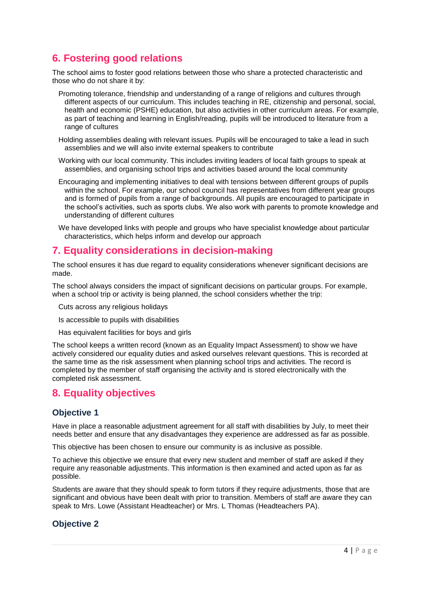## <span id="page-3-0"></span>**6. Fostering good relations**

The school aims to foster good relations between those who share a protected characteristic and those who do not share it by:

- Promoting tolerance, friendship and understanding of a range of religions and cultures through different aspects of our curriculum. This includes teaching in RE, citizenship and personal, social, health and economic (PSHE) education, but also activities in other curriculum areas. For example, as part of teaching and learning in English/reading, pupils will be introduced to literature from a range of cultures
- Holding assemblies dealing with relevant issues. Pupils will be encouraged to take a lead in such assemblies and we will also invite external speakers to contribute
- Working with our local community. This includes inviting leaders of local faith groups to speak at assemblies, and organising school trips and activities based around the local community
- Encouraging and implementing initiatives to deal with tensions between different groups of pupils within the school. For example, our school council has representatives from different year groups and is formed of pupils from a range of backgrounds. All pupils are encouraged to participate in the school's activities, such as sports clubs. We also work with parents to promote knowledge and understanding of different cultures
- We have developed links with people and groups who have specialist knowledge about particular characteristics, which helps inform and develop our approach

#### <span id="page-3-1"></span>**7. Equality considerations in decision-making**

The school ensures it has due regard to equality considerations whenever significant decisions are made.

The school always considers the impact of significant decisions on particular groups. For example, when a school trip or activity is being planned, the school considers whether the trip:

Cuts across any religious holidays

- Is accessible to pupils with disabilities
- Has equivalent facilities for boys and girls

The school keeps a written record (known as an Equality Impact Assessment) to show we have actively considered our equality duties and asked ourselves relevant questions. This is recorded at the same time as the risk assessment when planning school trips and activities. The record is completed by the member of staff organising the activity and is stored electronically with the completed risk assessment.

#### <span id="page-3-2"></span>**8. Equality objectives**

#### **Objective 1**

Have in place a reasonable adjustment agreement for all staff with disabilities by July, to meet their needs better and ensure that any disadvantages they experience are addressed as far as possible.

This objective has been chosen to ensure our community is as inclusive as possible.

To achieve this objective we ensure that every new student and member of staff are asked if they require any reasonable adjustments. This information is then examined and acted upon as far as possible.

Students are aware that they should speak to form tutors if they require adjustments, those that are significant and obvious have been dealt with prior to transition. Members of staff are aware they can speak to Mrs. Lowe (Assistant Headteacher) or Mrs. L Thomas (Headteachers PA).

#### **Objective 2**